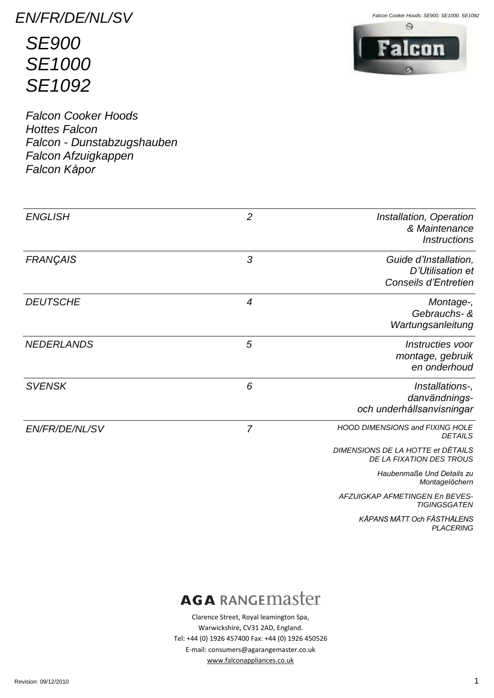EN/FR/DE/NL/SV

**SE900 SE1000 SE1092** 

**Falcon Cooker Hoods Hottes Falcon** Falcon - Dunstabzugshauben Falcon Afzuigkappen Falcon Kåpor

Falcon Cooker Hoods: SE900. SE1000. SE1092



| <b>ENGLISH</b>        | $\overline{2}$ | Installation, Operation<br>& Maintenance<br><b>Instructions</b>   |
|-----------------------|----------------|-------------------------------------------------------------------|
| <b>FRANÇAIS</b>       | 3              | Guide d'Installation,<br>D'Utilisation et<br>Conseils d'Entretien |
| <b>DEUTSCHE</b>       | $\overline{4}$ | Montage-,<br>Gebrauchs- &<br>Wartungsanleitung                    |
| <b>NEDERLANDS</b>     | 5              | Instructies voor<br>montage, gebruik<br>en onderhoud              |
| <b>SVENSK</b>         | 6              | Installations-,<br>danvändnings-<br>och underhållsanvisningar     |
| <b>EN/FR/DE/NL/SV</b> | $\overline{7}$ | <b>HOOD DIMENSIONS and FIXING HOLE</b><br><b>DETAILS</b>          |
|                       |                | DIMENSIONS DE LA HOTTE et DÉTAILS<br>DE LA FIXATION DES TROUS     |
|                       |                | Haubenmaße Und Details zu<br>Montagelöchern                       |
|                       |                | AFZUIGKAP AFMETINGEN En BEVES-<br><b>TIGINGSGATEN</b>             |

KÅPANS MÅTT Och FÄSTHÅLENS

**PLACERING** 

# **AGA RANGEMASTET**

Clarence Street, Royal leamington Spa, Warwickshire, CV31 2AD, England. Tel: +44 (0) 1926 457400 Fax: +44 (0) 1926 450526 E-mail: consumers@agarangemaster.co.uk www.falconappliances.co.uk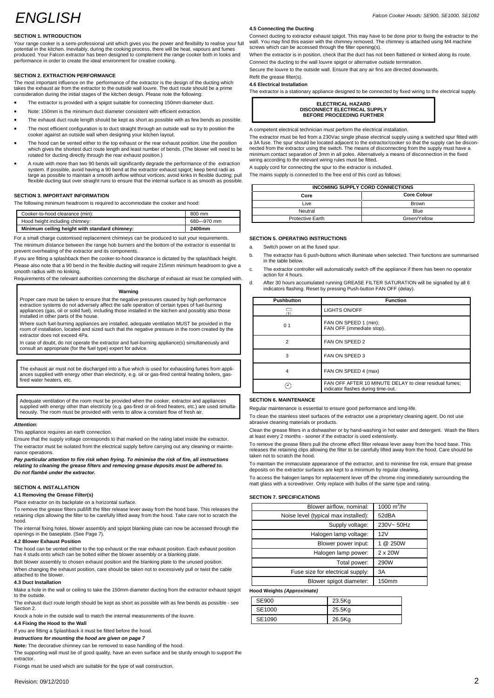# ENGLISH

# **SECTION 1. INTRODUCTION**

Your range cooker is a semi-professional unit which gives you the power and flexibility to realise your full potential in the kitchen. Inevitably, during the cooking process, there will be heat, vapours and fumes produced. Your Falcon extractor has been designed to complement the range cooker both in looks and Wher<br>performance in order to create the ideal environment for creative cooking.

# **SECTION 2. EXTRACTION PERFORMANCE**

The most important influence on the performance of the extractor is the design of the ducting which takes the exhaust air from the extractor to the outside wall louvre. The duct route should be a prime consideration during the initialstages of the kitchen design. Please note the following: consideration during the initial stages of the kitchen design. Please note the following:<br>• The extractor is provided with a spigot suitable for connecting 150mm diameter duct.

- 
- Note: 150mm is the minimum duct diameter consistent with efficient extraction.
- The exhaust duct route length should be kept as short as possible with as few bends as possible.
- The most efficient configuration is to duct straight through an outside wall so try to position the cooker against an outside wall when designing your kitchen layout.
- The hood can be vented either to the top exhaust or the rear exhaust position. Use the position which gives the shortest duct route length and least number of bends. (The blower will need to be rotated for ducting directly through the rear exhaust position.)
- A route with more than two 90 bends will significantly degrade the performance of the extraction system. If possible, avoid having a 90 bend at the extractor exhaust spigot; keep bend radii as where the stra<br>large as possible to maintain a smooth airflow without vortices; avoid kinks in flexible ducting; pull where flexible ducting taut over straight runs to ensure that the internal surface is as smooth as possible.

# **SECTION 3. IMPORTANT INFORMATION**

The following minimum headroom is required to accommodate the cooker and hood:

| Minimum ceiling height with standard chimney: | 2400mm     |  |
|-----------------------------------------------|------------|--|
| Hood height including chimney:                | 680-970 mm |  |
| Cooker-to-hood clearance (min):               | 800 mm     |  |

For a small charge customised replacement chimneys can be produced to suit your requirements. The minimum distance between the range hob burners and the bottom of the extractor is essential to a prevent overheating of the extractor and its components.

If you are fitting a splashback then the cooker-to-hood clearance is dictated by the splashback height. Please also note that a 90 bend in the flexible ducting will require 215mm minimum headroom to give a

smooth radius with no kinking.

Requirements of the relevant authorities concerning the discharge of exhaust air must be complied with.

# **Warning**

Proper care must be taken to ensure that the negative pressures caused by high performance<br>extraction systems do not adversely affect the safe operation of certain types of fuel-burning<br>appliances (gas, oil or solid fuel), installed in other parts of the house.

Where such fuel-burning appliances are installed, adequate ventilation MUST be provided in the room of installation, located and sized such that the negative pressure in the room created by the extractor does notexceed 4Pa.

In case of doubt, do not operate the extractor and fuel-burning appliance(s) simultaneously and consult an appropriate (for the fuel type) expert for advice.

The exhaust air must not be discharged into a flue which is used for exhausting fumes from appli-<br>ances supplied with energy other than electricity, e.g. oil or gas-fired central heating boilers, gasfired water heaters, etc.

Adequate ventilation of the room must be provided when the cooker, extractor and appliances supplied with energy other than electricity (e.g. gas-fired or oil-fired heaters, etc.) are used simulta neously. The room must be provided with vents to allow a constant flow of fresh air.

#### **Attention:**

This appliance requires an earth connection.

Ensure that the supply voltage corresponds to that marked on the rating label inside the extractor. The extractor must be isolated from the electrical supply before carrying out any cleaning or mainte nance operations.

Pay particular attention to fire risk when frying. To minimise the risk of fire, all instructions<br>relating to cleaning the grease filters and removing grease deposits must be adhered to.<br>Do not flambé under the extractor.

#### **SECTION 4. INSTALLATION**

#### **4.1 Removing the Grease Filter(s)**

Place extractor on its backplate on a horizontal surface.

To remove the grease filters pull/lift the filter release lever away from the hood base. This releases the retaining clips allowing the filter to be carefully lifted away from the hood. Take care not to scratch the hood.

The internal fixing holes, blower assembly and spigot blanking plate can now be accessed through the openings in the baseplate. (See Page 7).

# **4.2 Blower Exhaust Position**

The hood can be vented either to the top exhaust or the rear exhaust position. Each exhaust position has 4 studs onto which can be bolted either the blower assembly or a blanking plate.

Bolt blower assembly to chosen exhaust position and the blanking plate to the unused position.

When changing the exhaust position, care should be taken not to excessively pull or twist the cable attached to the blower.

# **4.3 Duct Installation**

Make a hole in the wall or ceiling to take the 150mm diameter ducting from the extractor exhaust spigot to the outsid The exhaust duct route length should be kept as short as possible with as few bends as possible - see

Section 2. Knock a hole in the outside wall to match the internal measurements of the louvre.

### **4.4 Fixing the Hood to the Wall**

If you are fitting a Splashback it must be fitted before the hood.

**Instructions for mounting the hood are given on page 7**

**Note:** The decorative chimney can be removed to ease handling of the hood.

The supporting wall must be of good quality, have an even surface and be sturdy enough to support the extractor.

Fixings must be used which are suitable for the type of wall construction.

#### **4.5 Connecting the Ducting**

Connect ducting to extractor exhaust spigot. This may have to be done prior to fixing the extractor to the wall. You may find this easier with the chimney removed. The chimney is attached using M4 machine screws which can be accessed through the filter opening(s).

When the extractor is in position, check that the duct has not been flattened or kinked along its route. Connect the ducting to the wall louvre spigot or alternative outside termination.

Secure the louvre to the outside wall. Ensure that any air fins are directed downwards. Refit the grease filter(s).

# **4.6 Electrical Installation**

The extractor is a stationary appliance designed to be connected by fixed wiring to the electrical supply.

| <b>ELECTRICAL HAZARD</b>            |  |
|-------------------------------------|--|
| <b>DISCONNECT ELECTRICAL SUPPLY</b> |  |
| <b>BEFORE PROCEEDING FURTHER</b>    |  |

A competent electrical technician must perform the electrical installation.

The extractor must be fed from a 230Vac single phase electrical supply using a switched spur fitted with a 3A fuse. The spur should be located adjacent to the extractor/cooker so that the supply can be discon nected from the extractor using the switch. The means of disconnecting from the supply must have a minimum contact separation of 3mm in all poles. Alternatively a means of disconnection in the fixed wiring according to the relevant wiring rules must be fitted.

A supply cord for connecting the spur to the extractor is included.

The mains supply is connected to the free end of this cord as follows:

| INCOMING SUPPLY CORD CONNECTIONS |                    |
|----------------------------------|--------------------|
| Core                             | <b>Core Colour</b> |
| Live                             | <b>Brown</b>       |
| Neutral                          | Blue               |
| <b>Protective Earth</b>          | Green/Yellow       |

#### **SECTION 5. OPERATING INSTRUCTIONS**

Switch power on at the fused spur.

읐

**SECTION 6. MAINTENANCE**

 $\odot$ 

taken not to scratch the hood.

abrasive cleaning materials or products.

b. The extractor has 6 push-buttons which illuminate when selected. Their functions are summarised in the table below.

d. After 30 hours accumulated running GREASE FILTER SATURATION will be signalled by all 6 indicators flashing. Reset by pressing Push-button FAN OFF (delay).

The extractor controller will automatically switch off the appliance if there has been no operator action for 4 hours.

> **Pushbutton Function** LIGHTS ON/OFF

0 1 FAN ON SPEED 1 (min);<br>FAN OFF (immediate stop).

2 FAN ON SPEED 2 3 FAN ON SPEED 3 4 FAN ON SPEED 4 (max)

Falcon Cooker Hoods: SE900, SE1000, SE1092

# To access the halogen lamps for replacement lever off the chrome ring immediately surrounding the matt glass with a screwdriver. Only replace with bulbs of the same type and rating. matt glass with a screwdriver. Only replace with bulbs of the same type **SECTION 7. SPECIFICATIONS**

Regular maintenance is essential to ensure good performance and long-life.

at least every 2 months - sooner if the extractor is used extensively.

To clean the stainless steel surfaces of the extractor use a proprietary cleaning agent. Do not use

indicator flashes during time-out.

Clean the grease filters in a dishwasher or by hand-washing in hot water and detergent. Wash the filters

FAN OFF AFTER 10 MINUTE DELAY to clear residual fumes;

To maintain the immaculate appearance of the extractor, and to minimise fire risk, ensure that grease deposits on the extractor surfaces are keptto a minimum by regular cleaning.

To remove the grease filters pull the chrome effect filter release lever away from the hood base. This releases the retaining clips allowing the filter to be carefully lifted away from the hood. Care should be

| Blower airflow, nominal:             | $1000 \text{ m}^3/\text{hr}$ |
|--------------------------------------|------------------------------|
| Noise level (typical max installed): | 52dBA                        |
| Supply voltage:                      | 230V~50Hz                    |
| Halogen lamp voltage:                | 12V                          |
| Blower power input:                  | @ 250W                       |
| Halogen lamp power:                  | 2 x 20W                      |
| Total power:                         | 290W                         |
| Fuse size for electrical supply:     | 3A                           |
| Blower spigot diameter:              | 150mm                        |

**Hood Weights (Approximate)**

| SE900  | 23.5Kg |
|--------|--------|
| SE1000 | 25.5Kg |
| SE1090 | 26.5Kg |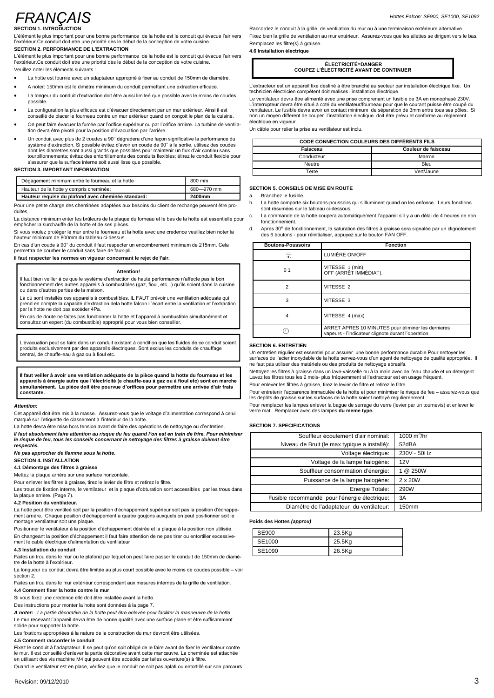# **FRANCAIS**

**SECTION 1. INTRODUCTION**

L'élément le plus important pour une bonne performance de la hotte est le conduit qui évacue l'air vers **SECTION 1. INTRODUCTION**<br>L'élément le plus important pour une bonne performance de la hotte est le conduit qui évacue<br>l'extérieur.Ce conduit doit etre une priorité dès le début de la conception de votre cuisine. L'élément le plus important pour une bonne performance de la l<br>l'extérieur.Ce conduit doit etre une priorité dès le début de la cor<br>**SECTION 2. PERFORMANCE DE L'EXTRACTION** l'exterieur.Ce conduit doit etre une priorite des le début de la conception de votre cuisine.<br>SECTION 2. PERFORMANCE DE L'EXTRACTION<br>L'élément le plus important pour une bonne performance de la hotte est le conduit qui éva

Raccordez le conduit à la grille de ventilation du mur ou à une terminaison extérieure alternative. Raccordez le conduit à la grille de ventilation du mur ou à une terminaison extérieure alternative.<br>Fixez bien la grille de ventilation au mur extérieur. Assurez-vous que les ailettes se dirigent vers le bas. Raccordez le conduit a la grille de ve<br>Fixez bien la grille de ventilation au m<br>Remplacez les filtre(s) à graisse. **4.6 Installation Èlectrique**

# **COUPEZ <sup>L</sup>í…LECTRICIT… AVANT DE CONTINUER**

Líextracteur est un appareil fixe destiné à être branché au secteur par installation électrique fixe. Un<br>technicien électricien compétent doit realises l'installation électrique. L'extracteur est un appareil fixe destiné à être branché au secteur par installation électrique fixe. Un<br>technicien électricien compétent doit realises l'installation électrique.<br>Le ventilateur devra être alimenté avec un

technicien électricien compétent doit realises l'installation électrique.<br>Le ventilateur devra être alimenté avec une prise comprenant un fusible de 3A en monophasé 230V.<br>L'interrupteur devra étre situé à coté du ventilate en verheerder<br>Je fusible devryen different de<br>en vigueur. non un moyen different de couper l'installation électique<br>électrique en vigueur.<br>Un câble pour relier la prise au ventilateur est inclu.

| CODE CONNECTION COULEURS DES DIFFÉRENTS FILS |                     |
|----------------------------------------------|---------------------|
| Faisceau                                     | Couleur de faisceau |
| Conducteur                                   | Marron              |
| Neutre                                       | Bleu                |
| Terre                                        | Vert/Jaune          |

#### **SECTION 5. CONSEILS DE MISE EN ROUTE**

Branchez le fusible

- SECTION 5. CONSEILS DE MISE EN ROUTE<br>a. Branchez le fusible.<br>b. La hotte comporte six boutons-poussoirs qui s'illuminent quand on les enfonce. Leurs fonctions<br>sont résumées sur le tableau ci-dessous. sont résumées sur le tableau ci-dessous.<br>La commande de la hotte coupera automatiquement l'appareil s'il y a un délai de 4 heures de non
- fonctionnement.
- c. La commande de la hotte coupera automatiquement l'appareil s'il y a un délai de 4 heures de non<br>fonctionnement.<br>d. Après 30<sup>41</sup> de fonctionnement, la saturation des filtres à graisse sera signalée par un clignotement<br>de

| <b>Boutons-Poussoirs</b> | <b>Fonction</b>                                                                                           |
|--------------------------|-----------------------------------------------------------------------------------------------------------|
| 믔                        | LUMIÈRE ON/OFF                                                                                            |
| 0 <sub>1</sub>           | VITESSE 1 (min);<br>OFF (ARRÊT IMMÉDIAT).                                                                 |
| $\overline{2}$           | VITESSE 2                                                                                                 |
| 3                        | VITESSE 3                                                                                                 |
| 4                        | VITESSE 4 (max)                                                                                           |
|                          | ARRET APRES 10 MINUTES pour éliminer les dernieres<br>vapeurs - l'indicateur clignote durant l'operation. |

### **SECTION 6. ENTRETIEN**

SECTION 6. ENTRETIEN<br>Un entretien régulier est essentiel pour assurer une bonne performance durable Pour nettoyer les<br>surfaces de l'acier inoxydable de la hotte servez-vous d'un agent de nettoyage de qualité appropriée. Il **Il** faut veiller à avoir une ventilation adéquate de la pièce quand la hotte du fourneau et les<br>Il faut veiller à avoir une ventilation adéquate de la pièce quand la hotte du fourneau et les<br>Il faut veiller à graisse dans

surfaces de l'acier inoxydable de la hotte servez-vous d'un agent de nettoyage de qualité appropriée. Il<br>ne faut pas utiliser des matériels ou des produits de nettoyage abrasifs.<br>Nettoyez les filtres à graisse dans un lave Lavez les filtres tous les 2 mois- plus fréquemment si l'extracteur est en usage fréquent.<br>Pour enlever les filtres à graisse, tirez le levier de filtre et retirez le filtre.

Pour entretenir l'apparence immaculée de la hotte et pour minimiser le risque de feu – assurez-vous que les depôts de graisse sur les surfaces de la hotte soient nettoyé regulierenment.

Pour remplacer les lampes enlever la bague de serrage du verre (levier par un tournevis) et enlever le verre mat. Remplacer avec des lampes **du meme type.**

#### **SECTION 7. SPECIFICATIONS**

| ECTION 7. SPECIFICATIONS                      |               |
|-----------------------------------------------|---------------|
| Souffleur écoulement d'air nominal:           | 1000 $m^3/hr$ |
| Niveau de Bruit (le max typique a installé):  | 52dBA         |
| Voltage électrique:                           | 230V~50Hz     |
| Voltage de la lampe halogène:                 | 12V           |
| Souffleur consommation d'énergie:             | @ 250W        |
| Puissance de la lampe halogène:               | 2 x 20W       |
| Energie Totale:                               | 290W          |
| Fusible recommandé pour l'énergie électrique: | 3A            |
| Diamétre de l'adaptateur du ventilateur:      | 150mm         |

#### **Poids des Hottes (approx)**

| SE900  | 23.5Kg |
|--------|--------|
| SE1000 | 25.5Kg |
| SE1090 | 26.5Kg |

l'extérieur. Ce conduit doit etre une priorité dès le début de la conception de votre cuisine.<br>Veuillez noter les éléments suivants :

- La hotte est fournie avec un adaptateur approprié à fixer au conduit de 150mm de diamètre. A note est fournie avec un adaptateur approprié à fixer au conduit de 150mm de diamètre<br>• A noter: 150mm est le dimètre minimum du conduit permettant une extraction efficace.
- La noter: 150mm est le dimètre minimum du conduit permettant une extraction efficace.<br>Le longeur du conduit d'extraction doit être aussi limiteé que possible avec le moins de coudes
- La longeur du conduit d'extraction doit être aussi limiteé que possible avec le moins de coudes<br>possible
- La configuration la plus efficace est d'évacuer directement par un mur extérieur. Ainsi il est possible.<br>● La configuration la plus efficace est d'évacuer directement par un mur extérieur. Ainsi il est<br>conseillé de placer le fourneau contre un mur extérieur quand on conçoit le plan de la cuisine. La contiguration la plus efficace est d'evacuer directement par un mur exterieur. Ainsi il est<br>conseillé de placer le fourneau contre un mur extérieur quand on conçoit le plan de la cuisine.<br>On peut faire évacuer la fumée
- On peut faire évacuer la fumée par l'orifice supérieur ou par l'orifice arrière. La turbine de ventila-<br>tion devra être pivoté pour la position d'évacuation par l'arrière.
- On peut faire évacuer la tumée par l'ontice supérieur ou par l'ontice arrière.<br>
Un devra être pivoté pour la position d'évacuation par l'arrière.<br>
Un conduit avec plus de 2 coudes a 90° dégradera d'une façon significative système d'extraction. Si possible évitez d'avoir un coude de 90° à la sortie, utilisez des coudes<br>dont les diametres sont aussi grands que possibles pour maintenir un flux d'air continu sans<br>tourbillonnements; évitez des e

| <b>SECTION 3. IMPORTANT INFORMATION</b> |                                                    |            |   |
|-----------------------------------------|----------------------------------------------------|------------|---|
|                                         | Dégagement minimum entre le fourneau et la hotte   | 800 mm     |   |
|                                         | Hauteur de la hotte y compris cheminée:            | 680-970 mm | s |
|                                         | Hauteur requise du plafond avec cheminée standard: | 2400mm     | a |

Pour une petite charge des cheminées adaptées aux besoins du client de rechange peuvent être produites.

Pour une petite charge des cheminées adaptées aux besoins du client de rechange peuvent être pro-<br>duites.<br>La distance minimum enter les brûleurs de la plaque du forneau et le bas de la hotte est essentielle pour <sup>c.</sup><br>empêc

empêcher la surchauffe de la hotte et de ses pièces.<br>Si vous voulez protéger le mur entre le fourneau et la hotte avec une credence veuillez bien noter la d. hauteur minimum de 800mm du tableau ci-dessus.

En cas d'un coude à 90° du conduit il faut respecter un encombrement minimum de 215mm. Cela permettra de courber le conduit sans faire de faux-pli.

**Il faut respecter les normes en vigueur concernant le rejet de <sup>l</sup>íair.**

#### **Attention!**

Attention!<br>Il faut bien veiller à ce que le système d'extraction de haute performance n'affecte pas le bon<br>fonctionnement des autres appareils à combustibles (gaz, fioul, etc...) qu'ils soient dans la cuisine Il faut bien veiller à ce que le système d'ext<br>fonctionnement des autres appareils à com<br>ou dans d'autres parties de la maison. fonctionnement des autres appareils à combustibles (gaz, fioul, etc...) qu'ils soient dans la cuisine<br>ou dans d'autres parties de la maison.<br>Là où sont installés ces appareils à combustibles, IL FAUT prévoir une ventilatio

Là où sont installés ces appareils à combustibles, IL FAUT prévoir une ventilation adéquate qui Là où sont installés ces appareils à comb<br>prend en compte la capacité d'extraction<br>par la hotte ne doit pas excéder 4Pa. prend en compte la capacité d'extraction dela hotte falcon.L'écart entre la ventilation et l'extraction<br>par la hotte ne doit pas excéder 4Pa.<br>En cas de doute ne faites pas functionner la hotte et l'appareil à combustible s

En cas de doute ne faites pas functionner la hotte et l'appareil à combustible simultanément et<br>consultez un expert (du combustible) approprié pour vous bien conseiller.

L'évacuation peut se faire dans un conduit existant à condition que les fluides de ce conduit soient L'évacuation peut se faire dans un conduit existant à condition que les fluides de ce conduit soient<br>produits exclusivement par des appareils électriques. Sont exclus les conduits de chauffage<br>central, de chauffe-eau à gaz

ll faut veiller à avoir une ventilation adéquate de la pièce quand la hotte du fourneau et les<br>appareils à énergie autre que l'électricité (e chauffe-eau à gaz ou à fioul etc) sont en marche<br>simultanément. La pièce doit êt simultanément. La pièce doit être pourvue d'orifices pour permettre une arrivée d'air frais constante.

#### **Attention:**

**Cetention:**<br>Cet appareil doit être mis à la masse. Assurez-vous que le voltage d'alimentation correspond à celui<br>marqué sur l'etiquette de classement à l'interieur de la hotte. Cet appareil doit être mis à la masse. Assurez-vous que le voltage d'alimentation correspond à celui<br>marqué sur l'etiquette de classement à l'interieur de la hotte.<br>La hotte devra être mise hors tension avant de faire des

marque sur l'etiquette de classement a l'interieur de la notte.<br>La hotte devra être mise hors tension avant de faire des opérations de nettoyage ou d'entretien. SE<br>Il faut absolument faire attention au risque d le risque de feu, tous les conseils concernant le nettoyage des filtres à graisse doivent être<br>respectés.

**Ne pas approcher de flamme sous la hotte.**

# **SECTION 4. INSTALLATION**

# **4.1 <sup>D</sup>Èmontage des filtres ‡ graisse**

Mettez la plaque arrière sur une surface horizontale.

Pour enlever les filtres à graisse, tirez le levier de filtre et retirez le filtre.

Mettez la plaque arnere sur une surrace norizontale.<br>Pour enlever les filtres à graisse, tirez le levier de filtre et retirez le filtre.<br>Les trous de fixation interne, le ventilateur et la plaque d'obturation sont accessib La plaque arrière. (Page 7).<br>4.2 Position du ventilateur.<br>La hotte peut être ventileé soit par la position d'échappement supérieur soit pas la position d'échappe-

#### **4.2 Position du ventilateur.**

4.2 Position du ventilateur.<br>La hotte peut être ventileé soit par la position d'échappement supérieur soit pas la position d'échappe-<br>ment arrière. Chaque position d'échappement a quatre goujons auxquels on peut positionn montage ventilateur soit une plaque. ment arrière. Chaque position d'échappement a quatre goujons auxquels on peut positionner soit le<br>montage ventilateur soit une plaque.<br>Positionner le ventilateur à la position d'échappement désirée et la plaque à la posit

montage ventilateur soit une plaque.<br>Positionner le ventilateur à la position d'échappement désirée et la plaque à la position non utilisée.<br>En changeant la position d'échappement il faut faire attention de ne pas tirer ou Faites un trou dans le mur ou le plafond par lequel on peut faire passer le conduit de 150mm de diamè-<br>
4.3 Installation du conduit<br>
Faites un trou dans le mur ou le plafond par lequel on peut faire passer le conduit de 15

# **4.3 Installation du conduit**

tre de la hotte à l'extérieur. Faites un trou dans le mur ou le plafond par lequel on peut faire passer le conduit de 150mm de diamè-<br>tre de la hotte à l'extérieur.<br>La longueur du conduit devra être limitée au plus court possible avec le moins de coudes

section<sub>2</sub>. La longueur du conduit devra être limitée au plus court possible avec le moins de coudes possible – voi<br>section 2.<br>Faites un trou dans le mur extérieur correspondant aux mesures internes de la grille de ventilation.

Faites un trou dans le mur extérieur correspondant aux mesures internes de la grille de ventilation<br>4.4 Comment fixer la hotte contre le mur<br>Si vous fixez une credence elle doit être installée avant la hotte.

**4.4 Comment fixer la hotte contre le mur**

Des instructions pour monter la hotte sont données à la page 7.

**<sup>A</sup> noter:** La partie <sup>d</sup>*Ècorative de la hotte peut Ítre enlevÈe pour faciliter la manoeuvre de la hotte.* Le mur recevant l'appareil devra être de bonne qualité avec une surface plane et être suffisamment solide pour supporter la hotte.

Les fixations appropriées à la nature de la construction du mur devront être utilisées.

#### **4.5 Comment raccorder le conduit**

Fixez le conduit à l'adaptateur. Il se peut qu'on soit obligé de le faire avant de fixer le ventilateur contre 4**.5 Comment raccorder le conduit**<br>Fixez le conduit à l'adaptateur. Il se peut qu'on soit obligé de le faire avant de fixer le ventilateur contre<br>le mur. Il est conseillé d'enlever la partie décorative avant cette manœuvre en utilisant des vis machine M4 qui peuvent être accédés par la/les ouverture(s) à filtre.<br>Quand le ventilateur est en place, vérifiez que le conduit ne soit pas aplati ou entortillé sur son parcours.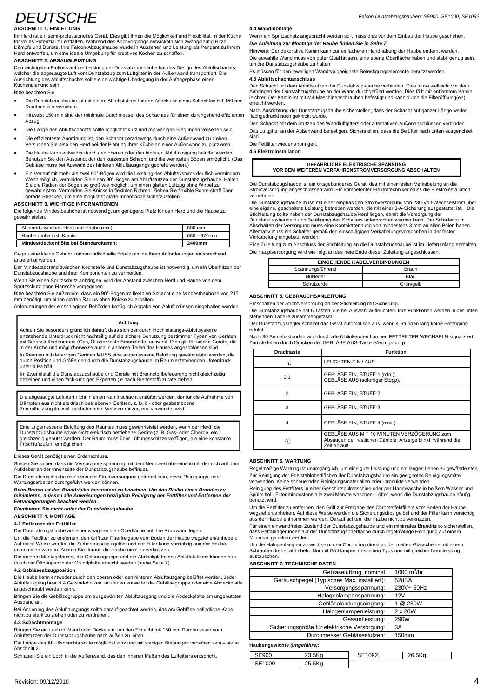# **DEUTSCHE**

# **ABSCHNITT 1. EINLEITUNG**

ABSCHNITT 1. EINLEITUNG<br>Ihr Herd ist ein semi-professionelles Gerät. Dies gibt Ihnen die Möglichkeit und Flexibilität, in der Küche<br>Ihr volles Potenzial zu entfalten. Während des Kochvorgangs entwickeln sich zwangsläufig H

# **ABSCHNITT 2. ABSAUGLEISTUNG**

**ABSCHNITT 2. ABSAUGLEISTUNG**<br>Den wichtigsten Einfluss auf die Leistung der Dunstabzugshaube hat das Design des Abluftschachts,<br>welcher die abgesaugte Luft vom Dunstabzug zum Luftgitter in der Außenwand transportiert. Die Den wichtigsten Einfluss auf die Leistung der Dunstabzugshaube hat das Design des Abluftscha<br>welcher die abgesaugte Luft vom Dunstabzug zum Luftgitter in der Außenwand transportiert. Die<br>Ausrichtung des Abluftschachts soll Küchenplanung sein.<br>Bitte beachten Sie:

- Die Dunstabzugshaube ist mit einem Abluftstutzen für den Anschluss eines Schachtes mit 150 mm Durchmesser versehen.
- His Due Dunstabzugshaube ist mit einem Abluttstutzen für den Anschluss eines Schachtes mit 150 mm<br>Durchmesser versehen.<br>Hinweis: 150 mm sind der minimale Durchmesser des Schachtes für einen durchgehend effizienten Abzug.<br>A ontin weis: 150 mm sind der minimale Durchmesser des Schachtes für einen durchgenend eπizienten<br>Abzug.<br>Die Länge des Abluftschachts sollte möglichst kurz und mit wenigen Biegungen versehen sein.
- . .........<br>Die Länge des Abluftschachts sollte möglichst kurz und mit wenigen Biegungen versehen sein.<br>Die effizienteste Anordnung ist, den Schacht geradewegs durch eine Außenwand zu ziehen.
- Die effizienteste Anordnung ist, den Schacht geradewegs durch eine Außenwand zu ziehen.<br>Versuchen Sie also den Herd bei der Planung Ihrer Küche an einer Außenwand zu platzieren.
- Die effizienteste Anordnung ist, den Schacht geradewegs durch eine Aulsenwand zu zienen. Die Fersuchen Sie also den Herd bei der Planung Ihrer Küche an einer Außenwand zu platzieren. Die F<br>Die Haube kann entweder durch de ■ Die Haube kann entweder durch den oberen oder den hinteren Abluftausgang b<br>Benutzen Sie den Ausgang, der den kürzesten Schacht und die wenigsten Böge<br>Gebläse muss bei Auswahl des hinteren Abluftausgangs gedreht werden.)
- Benutzen Sie den Ausgang, der den kürzesten Schacht und die wenigsten Bögen ermöglicht. (Das<br>Gebläse muss bei Auswahl des hinteren Abluftausgangs gedreht werden.)<br>Ein Verlauf mit mehr als zwei 90°-Bögen wird die Leistung d Gebiase muss bei Auswahl des hinteren Abluttausgangs gedreht werden.)<br>Ein Verlauf mit mehr als zwei 90°-Bögen wird die Leistung des Abluftsystems deutlich vermindern.<br>Wenn möglich, vermeiden Sie einen 90°-Bogen am Ablufts Wenn möglich, vermeiden Sie einen 90°-Bogen am Abluftstutzen der Dunstabzugshaube. Halten<br>Sie die Radien der Bögen so groß wie möglich, um einen glatten Luftzug ohne Wirbel zu<br>gewährleisten. Vermeiden Sie Knicke in flexibl

# **ABSCHNITT 3. WICHTIGE INFORMATIONEN**

gerade Strecken, um eine moglichst glatte Innenflache sicherzustellen.<br>**ABSCHNITT 3. WICHTIGE INFORMATIONEN**<br>Die folgende Mindestbauhöhe ist notwendig, um genügend Platz für den Herd und die Haube zu<br>gewährleisten.

| Mindestdeckenhöhe bei Standardkamin:   | 2400mm     |
|----------------------------------------|------------|
| Haubenhöhe inkl. Kamin:                | 680-970 mm |
| Abstand zwischen Herd und Haube (min): | 800 mm     |

Gegen eine kleine Gebühr können individuelle Ersatzkamine Ihren Anforderungen entsprechend angefertigt werden.

Der Mindestabstand zwischen Kochstelle und Dunstabzugshaube ist notwendig, um ein Überhitzen der Dunstabzugshaube und ihrer Komponenten zu vermeiden.

Wenn Sie einen Spritzschutz anbringen, wird der Abstand zwischen Herd und Haube von dem<br>Spritzschutz ohne Flansche vorgegeben.<br>Bitte beachten Sie außerdem, dass ein 90°-Bogen im flexiblen Schacht eine Mindestbauhöhe von 21 Bitte beachten Sie außerdem, dass ein 90°-Bogen im flexiblen Schacht eine Mindestbauhöhe von 215 mm benötigt, um einen glatten Radius ohne Knicke zu erhalten.

Anforderungen der einschlägigen Behörden bezüglich Abgabe von Abluft müssen eingehalten werden.

#### **Achtung**

Achten Sie besonders gründlich darauf, dass sich der durch Hochleistungs-Abluftsysteme **Achtung**<br>Achten Sie besonders gründlich darauf, dass sich der durch Hochleistungs-Abluftsysteme<br>entstehende Unterdruck nicht nachteilig auf die sicher Benutzung bestimmter Typen von Geräten<br>mit Brennstoffbefeuerung (Gas, mit Brennstoffbefeuerung (Gas, Öl oder feste Brennstoffe) auswirkt. Dies gilt für solche Geräte, die<br>In Räumen mit derartigen Geräten MUSS eine angemessene Belüftung gewährleistet werden, die<br>durch Position und Größe den d

durch Position und Größe den durch die Dunstabzugshaube im Raum entstehenden Unterdruck<br>unter 4 Pa hält.<br>Im Zweifelsfall die Dunstabzugshaube und Geräte mit Brennstoffbefeuerung nicht gleichzeitig<br>betreiben und einen fachk

Die abgesaugte Luft darf nicht in einen Kaminschacht entlüftet werden, der für die Aufnahme von<br>Dämpfen aus nicht elektrisch betriebenen Geräten, z. B. öl- oder gasbetriebene Zentralheizungskessel, gasbetriebene Wassererhitzer, etc. verwendet wird.

Eine angemessene Bel¸ftung des Raumes muss gew‰hrleistet werden, wenn der Herd, die Dunstabzugshaube sowie nicht elektrisch betriebene Ger‰te (z. B. Gas- oder ÷lherde, etc.) genutzt werden. Der Raum muss genutztet werden, werden, der Ferring aus Dunstabzugshaube sowie nicht elektrisch betriebene Geräte (z. B. Gas- oder Ölherde, etc.) gleichzeitig genutzt werden. Der Raum muss über Lüftungsschlitze verfügen, die eine konstante Frischluftzufuhr ermöglichen.

Dieses Gerät benötigt einen Erdanschluss.

Stellen Sie sicher, dass die Versorgungsspannung mit dem Nennwert übereinstimmt, der sich auf dem Aufkleber an der Innenseite derDunstabzugshaube befindet.

Aufkleber an der Innenseite der Dunstabzugshaube befindet.<br>Die Dunstabzugshaube muss von der Stromversorgung getrennt sein, bevor Reinigungs- oder<br>Wartungsarbeiten durchgeführt werden können.

**Beim Braten ist das Brandrisiko besonders zu beachten. Um das Risiko eines Brandes zu** Wartungsarbeiten durchgeführt werden können.<br>Beim Braten ist das Brandrisiko besonders zu beachten. Um das Risiko eines Brandes zu<br>minimieren, müssen alle Anweisungen bezüglich Reinigung der Fettfilter und Entfernen der **Fettablagerungen beachtet werden.**

**Flambieren Sie nicht unter der Dunstabzugshaube.**

# **ABSCHNITT 4. MONTAGE**

**4.1 Entfernen der Fettfilter**

Die Dunstabzugshaube auf einer waagerechten Oberfläche auf ihre Rückwand legen.

Um die Fettfilter zu entfernen, den Griff zur Filterfreigabe vom Boden der Haube wegziehen/anheben. Die Dunstabzugshaube auf einer waagerechten Oberfläche auf ihre Rückwand legen. aasten dat die Fettfilter zu entfernen, den Griff zur Filterfreigabe vom Boden der Haube wegziehen/anheben. Mir Auf diese Weise werden die Sic

Die inneren Montagelöcher, die Gebläsegruppe und die Abdeckplatte des Abluftstutzens können nun durch die Öffnungen in der Grundplatte erreicht werden (siehe Seite 7).<br>4.2 Gebläseabzugposition

durch die Offnungen in der Grundplatte erreicht werden (siene Seite 7).<br>4.2 Gebläseabzugposition<br>Die Haube kann entweder durch den oberen oder den hinteren Abluftausgang belüftet werden. Jeder Michael Gebl‰<br>Abluftausgang angeschraubt werden kann. Abluftausgang besitzt 4 Gewindebolzen, an denen entweder die Gebläsegruppe oder eine Abdeckplatte<br>angeschraubt werden kann.<br>Bringen Sie die Gebläsegruppe am ausgewählten Abluftausgang und die Abdeckplatte am ungenutzten

Ausgang an.

Bei Änderung des Abluftausgangs sollte darauf geachtet werden, das am Gebläse befindliche Kabel nicht zu stark zu ziehen oder zu verdrehen.

# **4.3 Schachtmontage**

4**.3 Schachtmontage**<br>Bringen Sie ein Loch in Wand oder Decke ein, um den Schacht mit 150 mm Durchmesser vom <br>Abluftstutzen der Dunstabzugshaube nach außen zu leiten. Abluftstutzen der Dunstabzugshaube nach außen zu leiten.<br>Die Länge des Abluftschachts sollte möglichst kurz und mit wenigen Biegungen versehen sein – siehe

Abschnitt 2.

Schlagen Sie ein Loch in die Außenwand, das den inneren Maßen des Luftgitters entspricht.

Wenn ein Spritzschutz angebracht werden soll, muss dies vor dem Einbau der Haube geschehen. **Die Anleitung zur Montage der Haube finden Sie in Seite 7.**

Hinweis: Der dekorative Kamin kann zur einfacheren Handhabung der Haube entfernt werden. Die gewählte Wand muss von guter Qualität sein, eine ebene Oberfläche haben und stabil genug sein, um die Dunstabzugshaube zu halten.

Es müssen für den jeweiligen Wandtyp geeignete Befestigungselemente benutzt werden.

#### **4.5 Abluftschachtanschluss**

Den Schacht mit dem Abluftstutzen der Dunstabzugshaube verbinden. Dies muss vielleicht vor dem **4.5 Abluftschachtanschluss**<br>Den Schacht mit dem Abluftstutzen der Dunstabzugshaube verbinden. Dies muss vielleicht vor dem<br>Anbringen der Dunstabzugshaube an der Wand durchgeführt werden. Dies fällt mit entferntem Kamin<br>l erreicht werden. leichter. Der Kamin ist mit M4-Maschinenschrauben befestigt und kann durch die Filteröffnung(en)<br>erreicht werden.<br>Nach Ausrichtung der Dunstabzugshaube sicherstellen, dass der Schacht auf ganzer Länge weder

Nach Ausrichtung der Dunstabzugshaube sicherstellen, dass der Schacht auf ganzer Länge weder<br>flachgedrückt noch geknickt wurde.

Den Schacht mit dem Stutzen des Wandluftgitters oder alternativen Außenanschlüssen verbinden. Das Luftgitter an der Außenwand befestigen. Sicherstellen, dass die Belüfter nach unten ausgerichtet

sind. Die Fettfilter wieder anbringen.

**4.6 Elektroinstallation**

| <b>pinstallation</b>                                 |  |
|------------------------------------------------------|--|
| <b>GEFÄHRLICHE ELEKTRISCHE SPANNUNG</b>              |  |
| VOR DEM WEITEREN VERFAHRENSTROMVERSORGUNG ABSCHALTEN |  |

VOR DEM WEITEREN VERFAHRENSTROMVERSORGUNG ABSCHALTEN<br>Die Dunstabzugshaube ist ein ortsgebundenes Gerät, das mit einer festen Verkabelung an die Stromversorgung angeschlossen wird. Ein kompetenter Elektrotechniker muss die Elektroinstallation vornehmen.

Stromversorgung angeschlossen wird. Ein kompetenter Elektrotechniker muss die Elektroinstallation<br>Oie Dunstabzugshaube muss mit einer einphasigen Stromversorgung von 230-Volt-Wechselstrom über<br>eine eigene, geschaltete Leis

Dunstabzugshaube durch Betätigung des Schalters unterbrochen werden kann. Der Schalter zum<br>Abschalten der Versorgung muss eine Kontakttrennung von mindestens 3 mm an allen Polen haben.<br>Alternativ muss ein Schalter gemäß d Verkabelung eingebaut werden.

Eine Zuleitung zum Anschluss der Stichleitung an die Dunstabzugshaube ist im Lieferumfang enthalten. Die Hauptversorgung wird wie folgt an das freie Ende dieser Zuleitung angeschlossen:

|                  | <b>EINGEHENDE KABELVERBINDUNGEN</b> |
|------------------|-------------------------------------|
| Spannungsführend | Braun                               |
| Nullleiter       | Blau                                |
| Schutzerde       | Grün/gelb                           |

### **ABSCHNITT 5. GEBRAUCHSANLEITUNG**

Einschalten der Stromversorgung an der Stichleitung mit Sicherung.

Die Dunstabzugshaube hat 6 Tasten, die bei Auswahl aufleuchten. Ihre Funktionen werden in der unten<br>stehenden Tabelle zusammengefasst.<br>Der Dunstabzugsregler schaltet das Gerät automatisch aus, wenn 4 Stunden lang keine Bet stehenden Tabelle zusammengefasst.

erfolgt.

erfolgt.<br>Nach 30 Betriebsstunden wird durch alle 6 blinkenden Lampen FETTFILTER WECHSELN signalisiert.<br>Zurückstellen durch Drücken der GEBLÄSE AUS-Taste (Verzögerung).

| <b>Drucktaste</b> | <b>Funktion</b>                                                                                                            |
|-------------------|----------------------------------------------------------------------------------------------------------------------------|
| ▭<br>氘            | LEUCHTEN EIN / AUS                                                                                                         |
| 0 <sub>1</sub>    | GEBLÄSE EIN, STUFE 1 (min.);<br>GEBLÄSE AUS (sofortiger Stopp).                                                            |
| 2                 | <b>GEBLÄSE EIN. STUFE 2</b>                                                                                                |
| 3                 | <b>GEBLÄSE EIN. STUFE 3</b>                                                                                                |
| 4                 | GEBLÄSE EIN, STUFE 4 (max.)                                                                                                |
|                   | GEBLÄSE AUS MIT 10 MINUTEN VERZÖGERUNG zum<br>Absaugen der restlichen Dämpfe; Anzeige blinkt, während die<br>Zeit abläuft. |

# **ABSCHNITT 6. WARTUNG**

**ABSCHNITT 6. WARTUNG**<br>Regelmäßige Wartung ist unumgänglich, um eine gute Leistung und ein langes Leben zu gewährleisten. ABSCHNITT 6. WARTUNG<br>Regelmäßige Wartung ist unumgänglich, um eine gute Leistung und ein langes Leben zu gewährleis<br>Zur Reinigung der Edelstahloberflächen der Dunstabzugshaube ein geeignetes Reinigungsmittel verwenden. Keine scheuernden Reinigungsmaterialien oder -produkte verwenden.

Zur Reinigung der Edelstahloberflächen der Dunstabzugshaube ein geeignetes Reinigungsmittel<br>verwenden. Keine scheuernden Reinigungsmaterialien oder -produkte verwenden.<br>Reinigung des Fettfilters in einer Geschirrspülmasch benutzt wird.

Um die Fettfilter zu entfernen, den Griff zur Freigabe des Chromeffektfilters vom Boden der Haube benutzt wird.<br>Um die Fettfilter zu entfernen, den Griff zur Freigabe des Chromeffektfilters vom Boden der Haube<br>wegziehen/anheben. Auf diese Weise werden die Sicherungsclips gelöst und der Filter kann vorsichtig<br>aus der Ha

aus der Haube entnommen werden. Darauf achten, die Haube nicht zu verkratzen.<br>Für einen einwandfreien Zustand der Dunstabzugshaube und ein minimales Brandrisiko sicherstellen,<br>dass Fettablagerungen auf der Dunstabzugsoberf

Minimum gehalten werden.<br>Um die Halogenlampen zu wechseln, den Chromring direkt an der matten Glasscheibe mit einem<br>Schraubendreher abhebeln. Nur mit Glühlampen desselben Typs und mit gleicher Nennleistung Schraubendreher abhebeln. Nur mit Glühlampen desselben Typs und mit gleicher Nennleistung austauschen.

#### **ABSCHNITT 7. TECHNISCHE DATEN**

| austauschen.                                |                |
|---------------------------------------------|----------------|
| <b>ABSCHNITT 7. TECHNISCHE DATEN</b>        |                |
| Gebläseluftzug, nominal                     | 1000 $m^3$ /hr |
| Geräuschpegel (Typisches Max. installiert): | 52dBA          |
| Versorgungsspannung:                        | 230V~50Hz      |
| Halogenlampenspannung:                      | 12V            |
| Gebläseleistungseingang:                    | @ 250W         |
| Halogenlampenleistung:                      | $2 \times 20W$ |
| Gesamtleistung:                             | 290W           |
| Sicherungsgröße für elektrische Versorgung: | 3A             |
| Durchmesser Gebläsestutzen:                 | 150mm          |
|                                             |                |

#### **Haubengewichte (ungef***‰hre)***:**

| SE900  | $-11$<br>20.OKG    | 1092 | 5K <sub>0</sub><br>ጋፎ |
|--------|--------------------|------|-----------------------|
| SE1000 | 25.5Kg<br>つら<br>۰. |      |                       |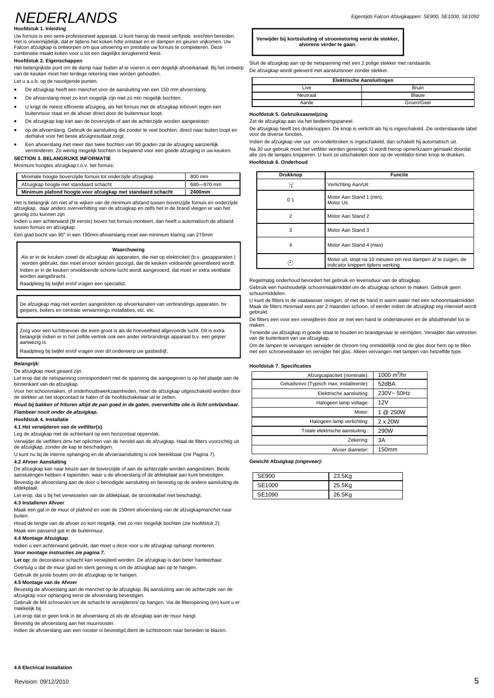# **NEDERI ANDS**

#### **Hoofdstuk 1. Inleiding**

Uw fornuis is een semi-professioneel apparaat. U kunt hierop de meest verfijnde erechten bereiden. Het is onvermijdelijk, dat er tijdens hetkoken hitte ontstaat en er dampen en geuren vrijkomen. Uw Falcon afzuigkap is ontworpen om qua uitvoering en prestatie uw fornuis te completeren. Deze combinatie maakt koken voor u tot een dagelijks terugkerend feest.

#### **Hoofdstuk 2. Eigenschappen**

Het belangrijkste punt om de damp naar buiten af te voeren is een degelijk afvoerkanaal. Bij het ontwerp van de keuken moet hier terdege rekening mee worden gehouden.

Let <sup>u</sup> a.u.b. op de navolgende punten.

- De afzuigkap heeft een manchet voor de aansluiting van een <sup>150</sup> mm afvoerslang.
- De afvoerslang moet zo kort mogelijk zijn met zo min mogelijk bochten.
- U krijgt de meest efficiente afzuiging, als het fornuis met de afzuigkap erboven tegen een
- buitenmuur staat en de afvoer direct door de buitenmuur loopt.
- De afzuigkap kap kan aan de bovenzijde of aan de achterzijde worden aangesloten
- op de afvoerslang. Gebruik de aansluiting die zonder te veel bochten, direct naar buiten loopt en derhalve voor het beste afzuigresultaat zorgt.
- Een afvoerslang metmeer dan twee bochten van 90 graden zal de afzuiging aanzienlijk verminderen. Zo weinig mogelijk bochten is bepalend voor een goede afzuiging in uw keuken.
- **SECTION 3. BELANGRIJKE INFORMATIE**

Minimum hoogtes afzuigkap t.o.v. het fornuis:

| Minimale hoogte bovenzijde fornuis tot onderzijde afzuigkap | 800 mm     |
|-------------------------------------------------------------|------------|
| Afzuigkap hoogte met standaard schacht                      | 680-970 mm |
| Minimum plafond hoogte voor afzuigkap met standaard schacht | 2400mm     |

Het is belangrijk om niet af te wijken van de minimum afstand tussen bovenzijde fornuis en onderzijde afzuigkap, daar anders oververhitting van de afzuigkap en zelfs hetin de brand vliegen er van het gevolg zou kunnen zijn.

Indien u een achterwand (fit eerste) boven het fornuis monteert, dan heeft u automatisch de afstand tussen fornuis en afzuigkap.

Een glad bocht van <sup>90</sup>° in een 150mm afvoerslang moet een minimum klaring van 215mm

#### **Waarchuwing**

Als er in de keuken zowel de afzuigkap als apparaten, die niet op elektriciteit (b.v. gasapparaten ) worden gebruikt, dan moet ervoor worden gezorgd, dat de keuken voldoende geventileerd wordt. Indien er in de keuken onvoldoende schone lucht wordt aangevoerd, dat moet er extra ventilatie worden aangebracht.

Raadpleeg bij twijfel en/of vragen een specialist.

De afzuigkap mag niet worden aangesloten op afvoerkanalen van verbrandings apparaten, bv geijsers, boilers en<br>geijsers, boilers en centrale verwarmings installaties, etc. etc.

Zorg voor een luchttoevoer die even groot is als de hoeveelheid afgevoerde lucht. Dit is extra belangrijk indien er in het zelfde vertrek ook een ander verbrandings apparaat b.v. een geijser aanwezig is.

Raadpleeg bij twijfel en/of vragen over dit onderwerp uw gasbedrijf.

#### **Belangrijk:**

De afzuigkap moet geaard zijn.<br>Let erop dat de netspanning correspondeert met de spanning die aangegeven is op het plaatje aan de binnenkant van de afzuigkap.

Voor het schoonmaken, of onderhoudswerkzaamheden, moet de afzuigkap uitgeschakeld worden door de stekker uit het stopcontact te halen of de hoofdschakelaar uit te zetten.

**Houd bij bakken of frituren altijd de pan goed in de gaten, oververhitte olie is licht ontvlambaar. Flambeer nooit onder de afzuigkap.**

**Hoofdstuk 4. Installatie**

### **4.1 Het verwijderen van de vetfilter(s)**

Leg de afzuigkap met de achterkant op een horizontaal oppervlak.

Verwijder de vetfilters dmv het oplichten van de hendel aan de afzuigkap. Haal de filters voorzichtig uit de afzuigkap, zonder de kap te beschadigen.

U kunt nu bij de interne ophanging en de afvoeraansluiting is ook bereikbaar (zie Pagina 7).

# **4.2 Afvoer Aansluiting**

De afzuigkap kan naar keuze aan de bovenzijde of aan de achterzijde worden aangesloten. Beide aansluitingen hebben 4 tapeinden, waar u de afvoerslang of de afdekplaat aan kunt bevestigen. Bevestig de afvoerslang aan de door u benodigde aansluiting en bevestig op de andere aansluiting de afdekplaat.

Let erop, dat u bij het verwisselen van de afdekplaat, de stroomkabel niet beschadigt.

### **4.3 Installeren Afvoer**

Maak een gat in de muur of plafond en voer de 150mm afvoerslang van de afzuigkapmanchet naar buiten.

Houd de lengte van de afvoer zo kort mogelijk, met zo min mogelijk bochten (zie hoofdstuk 2).

# Maak een passend gat in de buitenmuur.

**4.4 Montage Afzuigkap**

Indien u een achterwand gebruikt, dan moet u deze voor u de afzuigkap ophangt monteren. **Voor montage instructies zie pagina 7.**

**Let op:** de decoratieve schacht kan verwijderd worden. De afzuigkap is dan beter hanteerbaar. Overtuig u dat de muur glad en sterk genoeg is om de afzuigkap aan op te hangen.

# Gebruik de juiste bouten om de afzuigkap op te hangen.

**4.5 Montage van de Afvoer**

Bevestig de afvoerslang aan de manchet op de afzuigkap. Bij aansluiting aan de achterzijde van de afzuigkap voor ophanging eerst de afvoerslang bevestigen.

Gebruik de M4 schroeven om de schacht te verwijderen/ op hangen. Via de filteropening (en) kunt u er makkelijk bij.

Let erop dat er geen knik in de afvoerslang zit als de afzuigkap aan de muur hangt.

Bevestig de afvoerslang aan het muurrooster.

Indien de afvoerslang aan een rooster is bevestigd,dient de luchtstroom naar beneden te blazen.

#### **Verwijder bij kortssluiting of stroomstoring eerst de stekker, alvorens verder te gaan.**

Sluit de afzuigkap aan op de netspanning met een 2 polige stekker met randaarde. De afzuigkap wordt geleverd met aansluitsnoer zonder stekker.

| <b>Elektrische Aansluitingen</b> |              |  |
|----------------------------------|--------------|--|
| Live                             | <b>Bruin</b> |  |
| Neutraal                         | Blauw        |  |
| Aarde                            | Groen/Geel   |  |

#### **Hoofdstuk 5. Gebruiksaanwijzing**

Zet de afzuigkap aan via het bedieningspaneel.

De afzuigkap heeft zes drukknoppen. De knop is verlicht als hij is ingeschakeld. Zie onderstaande tabel voor de diverse functies.

Indien de afzuigkap vier uur on-onderbroken is ingeschakeld, dan schakelt hij automatisch uit. Na 30 uur gebruik moet het vetfilter worden gereinigd. U wordt hierop opmerkzaam gemaakt doordat alle zes de lampjes knipperen. U kunt ze uitschakelen door op de ventilator-timer knop te drukken. **Hoofdstuk 6. Onderhoud**

| Drukknop       | <b>Functie</b>                                                                                        |
|----------------|-------------------------------------------------------------------------------------------------------|
| Л١             | Verlichting Aan/Uit                                                                                   |
| 0 <sub>1</sub> | Motor Aan Stand 1 (min),<br>Motor Uit.                                                                |
| 2              | Motor Aan Stand 2                                                                                     |
| 3              | Motor Aan Stand 3                                                                                     |
| 4              | Motor Aan Stand 4 (max)                                                                               |
|                | Motor uit, stopt na 10 minuten om rest dampen af te zuigen, de<br>indicator knippert tijdens werking. |

Regelmatig onderhoud bevordert het gebruik en levensduur van de afzuigkap.

Gebruik een huishoudelijk schoonmaakmiddel om de afzuigkap schoon te maken. Gebruik geen schuurmiddelen.

U kunt de filters in de vaatwasser reinigen, of met de hand in warm water met een schoonmaakmiddel. Maak de filters minimaal eens per 2 maanden schoon, of eerder indien de afzuigkap erg intensief wordt gebruikt.

De filters een voor een verwijderen door ze meteen hand te ondersteunen en de afsluithendel los te maken.

Teneinde uw afzuigkap in goede staat te houden en brandgevaar te vermijden. Verwijder dan vetresten van de buitenkant van uw afzuigkap.

Om de lampen te vervangen verwijder de chroom ring onmiddellijk rond de glas door hem op te tillen met een schroevedraaier en vervijder het glas. Alleen vervangen met lampen van hetzelfde type.

#### **Hoofdstuk 7. Specificaties**

| Afzuigcapaciteit (nominale):             | $1000 \text{ m}^3/\text{hr}$ |
|------------------------------------------|------------------------------|
| Geluidsnivo (Typisch max. installeerde): | 52dBA                        |
| Elektrische aansluiting:                 | 230V~50Hz                    |
| Halogeen lamp voltage:                   | 12V                          |
| Motor:                                   | @ 250W                       |
| Halogeen lamp verlichting:               | 2 x 20W                      |
| Totale elektrische aansluiting:          | 290W                         |
| Zekering:                                | 3A                           |
| Afvoer diameter:                         | <b>150mm</b>                 |

#### **Gewicht Afzuigkap (ongeveer):**

| <b>SE900</b> | 23.5Kg |
|--------------|--------|
| SE1000       | 25.5Kg |
| SE1090       | 26.5Kg |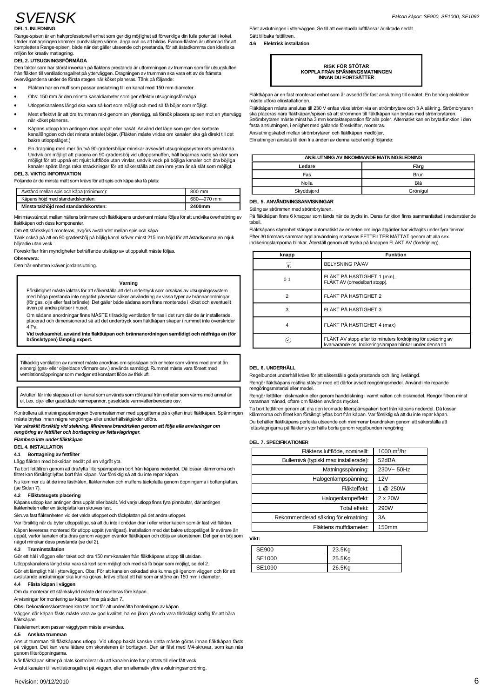# SVENSK

#### **DEL 1. INLEDNING**

DEL 1. INLEDNING<br>Range-spisen är en halvprofessionell enhet som ger dig möjlighet att förverkliga din fulla potential i köket.<br>Under matagningen kommer oundvikligen värme, ånga och os att bildas. Falcon-fläkten är utformad **Examplestera Range-spisen, både när det gäller utseende och prestanda, för att åstadkomma den idealiska miljön för kreativ matlagning.<br>
<b>DEL 2. LITSUGNINGSFÖRMÅGA** 

mijon for kreativ mattagning.<br>DEL 2. UTSUGNINGSFÖRMÅGA<br>Den faktor som har störst inverkan på fläktens prestanda är utformningen av trumman som för utsugsluften<br>från fläkten till ventilationsgallret på ytterväggen. Dragning Den faktor som har störst inverkan på fläktens prestanda är utformningen av trum<br>från fläkten till ventilationsgallret på ytterväggen. Dragningen av trumman ska vara<br>övervägandena under de första stegen när köket planeras. tran tläkten till ventilationsgallret på ytterväggen. Dragningen av trumman ska vara ett av de<br>övervägandena under de första stegen när köket planeras. Tänk på följande:<br>● Fläkten har en muff som passar anslutnin

- Fläkten har en muff som passar anslutning till en kanal med 150 mm diameter.<br>Obs: 150 mm är den minsta kanaldiameter som ger effektiv utsugningsförmåga.
- 
- Obs: 150 mm är den minsta kanaldiameter som ger effektiv utsugningsförmåga.<br>● Otloppskanalens längd ska vara så kort som möjligt och med så få böjar som möjligt.
- måste<br>Fläktiv (mest effektivt år att dra trumman rakt genom en yttervägg, så försök placera spisen mot en yttervägg<br>Mest effektivt är att dra trumman rakt genom en yttervägg, så försök placera spisen mot en yttervägg ska p Mest effektivt är att dra trumman rakt genom en yttervägg, så försök placera spisen mot en yttervägg<br>när köket planeras.
- Kåpans utlopp kan antingen dras uppåt eller bakåt. Använd det läge som ger den kortaste när köket planeras.<br>● Kåpans utlopp kan antingen dras uppåt eller bakåt. Använd det läge som ger den kortaste<br>kanallängden och det minsta antalet böjar. (Fläkten måste vridas om kanalen ska gå direkt till det<br>bakre utlopp
- bakre utloppsläget.)<br>En dragning med mer än två 90-gradersböjar minskar avsevärt utsugningssystemets prestanda bakre utloppsläget.)<br>En dragning med mer än två 90-gradersböjar minskar avsevärt utsugningssystemets prestanda.<br>Undvik om möjligt att placera en 90-gradersböj vid utloppsmuffen, håll böjarnas radie så stor som<br>möjligt för

#### **DEL 3. VIKTIG INFORMATION**

kanaler spant langs raka strackningar for att sakerstalla att den in<br>DEL 3. VIKTIG INFORMATION<br>Följande är de minsta mått som krävs för att spis och kåpa ska få plats:

| Följande är de minsta mått som krävs för att spis och kåpa ska få plats: |            |    |
|--------------------------------------------------------------------------|------------|----|
| Avstånd mellan spis och kåpa (minimum):                                  | 800 mm     |    |
| Kåpans höjd med standardskorsten:                                        | 680-970 mm | F. |
| Minsta takhöid med standardskorsten:                                     | 2400mm     | c  |

Minista takhöjd med standardskorsten:<br>Minimiavstândet mellan hällens brännare och fläktkåpans underkant måste följas för att undvika överhettning av<br>fläktkåpan och dess komponenter. Kabel fläktkåpan och dess komponenter.<br>Om ett stänkskydd monteras, avgörs avståndet mellan spis och kåpa.

¤nk apan och dess komponenter.<br>The ett stänkskydd monteras, avgörs avståndet mellan spis och kåpa.<br>Tänk också på att en 90-gradersböj på böjlig kanal kräver minst 215 mm höjd för att åstadkomma en mjuk böjradie utan veck.<br>Föreskrifter från myndigheter beträffande utsläpp av utloppsluft måste följas.

#### **Observera:**

Den här enheten kräver jordanslutning.

#### **Varning**

**Försiktighet måste iakttas för att säkerställa att det undertryck som orsakas av utsugningssystem**<br>The med höga prestanda inte negativt påverkar säker användning av vissa typer av brännanordningar Försiktighet måste iakttas för att säkerställa att det undertryck som orsakas av utsugningssystem<br>med höga prestanda inte negativt påverkar säker användning av vissa typer av brännanordningar<br>(för gas, olja eller fast brän

(för gas, olja eller fast bränsle). Det gäller både sådana som finns monterade i köket och eventuellt<br>även på andra platser i huset.<br>Om sådana anordningar finns MÅSTE tillräcklig ventilation finnas i det rum där de är inst

Vid tveksamhet, använd inte fläktkåpan och brännanordningen samtidigt och rådfråga en (för<br>bränsletypen) lämplig expert.

Tillräcklig ventilation av rummet måste anordnas om spiskåpan och enheter som värms med annat än<br>elenergi (gas- eller oljeeldade värmare osv.) används samtidigt. Rummet måste vara försett med<br>ventilationsöppningar som medg

R<br>Avluften får inte släppas ut i en kanal som används som rökkanal från enheter som värms med annat än<br>el, t.ex. olje- eller gaseldade värmepannor, gaseldade varmvattenberedare osv.

kontrollera att matningsspänningen överensstämmer med uppgifterna på skylten inuti fläktkåpan. Spänningen matni<br>Kontrollera att matningsspänningen överensstämmer med uppgifterna på skylten inuti fläktkåpan. Spänningen mål<br> Kontrollera att matningsspänningen överensstämmer med uppgifterna på skylten inuti fläktkåpan. Spänningen <sub>Kl</sub><br>måste brytas innan några rengörings- eller underhållsåtgärder utförs.<br>**Var särskilt försiktig vid stekning** 

**reng***ˆring av fettfilter och borttagning av fettavlagringar. rengöring av fettfilter och borttagning av fettavlagringar<br>Flambera inte under fläktkåpan* 

**DEL 4. INSTALLATION**

# **4.1 Borttagning av fettfilter**

Lägg fläkten med baksidan nedåt på en vågrät yta.

Ta bort fettfiltren genom att dra/lyfta filterspärrspaken bort från kåpans nederdel. Då lossar klämmorna och filtret kan försiktigt lyftas bort från kåpan. Var försiktig så att du inte repar kåpan.

Nu kommer du åt de inre fästhålen, fläktenheten och muffens täckplatta genom öppningarna i bottenplattan. (se Sidan 7).

# **4.2 Fl‰ktutsugets placering**

(se Sidan 7).<br>**4.2 Fläktutsugets placering**<br>Kåpans utlopp kan antingen dras uppåt eller bakåt. Vid varje utlopp finns fyra pinnbultar, där antingen<br>fläktenheten eller en täckplatta kan skruvas fast. fläktenheten eller en täckplatta kan skruvas fast.<br>Skruva fast fläktenheten vid det valda utloppet och täckplattan på det andra utloppet.

Var försiktig när du byter utloppsläge, så att du inte i onödan drar i eller vrider kabeln som är fäst vid fläkten. Skruva fast fläktenheten vid det valda utloppet och täckplattan på det andra utloppet.<br>Var försiktig när du byter utloppsläge, så att du inte i onödan drar i eller vrider kabeln som är fäst vid fläkten.<br>Kåpan levereras mon

#### **4.3 Truminstallation**

nagot minskar dess prestanda (se del 2).<br>**4.3 Truminstallation**<br>Gör ett hål i väggen eller taket och dra 150 mm-kanalen från fläktkåpans utlopp till utsidan. **4.3 I ruminstallation**<br>Gör ett hål i väggen eller taket och dra 150 mm-kanalen från fläktkåpans utlopp till utsidan.<br>Utloppskanalens längd ska vara så kort som möjligt och med så få böjar som möjligt, se del 2.

Utloppskanalens längd ska vara så kort som möjligt och med så få böjar som möjligt, se del 2.<br>Gör ett lämpligt hål i vtterväggen. Obs: För att kanalen oskadad ska kunna gå igenom väggen och för att Utloppskanalens längd ska vara så kort som möjligt och med så få böjar som möjligt, se del 2.<br>Gör ett lämpligt hål i ytterväggen. Obs: För att kanalen oskadad ska kunna gå igenom väggen och för a<br>avslutande anslutningar sk Gör ett lämpligt hål i ytterväggen. Obs: l<br>avslutande anslutningar ska kunna göra<br>**4.4 Fästa kåpan i väggen** avslutande anslutningar ska kunna goras, kravs ottast ett nal som al<br>**4.4 Fästa kåpan i väggen**<br>Om du monterar ett stänkskydd måste det monteras före kåpan.

**4.4 – Fasta kapan i vaggen**<br>Om du monterar ett stänkskydd måste det monteras före kå<br>Anvisningar för montering av kåpan finns på sidan 7.

Anvisningar för montering av kåpan finns på sidan 7.<br>**Obs:** Dekorationsskorstenen kan tas bort för att underlätta hanteringen av kåpan.

Anvisningar for montering av kapan finns pa sidan 7.<br>**Obs:** Dekorationsskorstenen kan tas bort för att underlätta hanteringen av kåpan.<br>Väggen där kåpan fästs måste vara av god kvalitet, ha en jämn yta och vara tillräcklig Väggen där kåpan fästs måste vara av god kvalitet, ha eı<br>fläktkåpan.<br>Fästelement som passar väggtypen måste användas.

## **4.5 Ansluta trumman**

Fästelement som passar väggtypen maste användas.<br>**4.5 – Ansluta trumman**<br>Anslut trumman till fläktkåpans utlopp. Vid utlopp bakåt kanske detta måste göras innan fläktkåpan fästs<br>på väggen. Det kan vara lättare om skorstene på väggen. Det kan vara lättare om skorstenen är borttagen. Den är fäst med M4-skruv<br>genom filteröppningarna.<br>När fläktkåpan sitter på plats kontrollerar du att kanalen inte har plattats till eller fått veck.

genom filteröppningarna.<br>När fläktkåpan sitter på plats kontrollerar du att kanalen inte har plattats till eller fått veck.<br>Anslut kanalen till ventilationsgallret på väggen, eller en alternativ yttre avslutningsanordning

Falcon kåpor:<br>Fäst avslutningen i ytterväggen. Se till att eventuella luftflänsar är riktade nedåt. Fäst avslutningen i ytterväg<br>Sätt tillbaka fettfiltren.

**4.6 Elektrisk installation**



Fläktkåpan är en fast monterad enhet som är avsedd för fast anslutning till elnätet. En behörig elektriker<br>måste utföra elinstallationen. måste utföra elinstallationen.<br>Fläktkåpan måste anslutas till 230 V enfas växelström via en strömbrytare och 3 A säkring. Strömbrytaren

måste utföra elinstallationen.<br>Fläktkåpan måste anslutas till 230 V enfas växelström via en strömbrytare och 3 A säkring. Strömbrytaren<br>ska placeras nära fläktkåpan/spisen så att strömmen till fläktkåpan kan brytas med str Fasta anslutningen, i enlighet med gällande föreskrifter, monteras<br>Anslutningskabel mellan strömbrytaren och fläktkåpan medföljer.

Elmatningen ansluts till den fria änden av denna kabel enligt följande:

| ANSLUTNING AV INKOMMANDE MATNINGSLEDNING |             |  |
|------------------------------------------|-------------|--|
| Ledare                                   | Färg        |  |
| Fas                                      | <b>Brun</b> |  |
| Nolla                                    | Blâ         |  |
| Skyddsjord                               | Grön/gul    |  |

#### **DEL 5. ANVƒNDNINGSANVISNINGAR**

Stäng av strömmen med strömbrytaren.

På fläktkåpan finns 6 knappar som tänds när de trycks in. Deras funktion finns sammanfattad i nedanstående tabell. På fläktkåpan finns 6 knappar som tänds när de trycks in. Deras funktion finns sammanfattad i nedanstående<br>tabell.<br>Fläktkåpans styrenhet stänger automatiskt av enheten om inga åtgärder har vidtagits under fyra timmar.

tabell.<br>Fläktkåpans styrenhet stänger automatiskt av enheten om inga åtgärder har vidtagits under fyra timmar.<br>Efter 30 timmars sammanlagd användning markeras FETTFILTER MÄTTAT genom att alla sex Efter 30 timmars sammanlagd användning markeras FETTFILTER MÄTTAT genom att alla sex<br>indikeringslamporna blinkar. Återställ genom att trycka på knappen FLÄKT AV (fördröjning).

| knapp          | <b>Funktion</b>                                                                                                              |  |
|----------------|------------------------------------------------------------------------------------------------------------------------------|--|
| 믔              | <b>BELYSNING PÅ/AV</b>                                                                                                       |  |
| 0 <sub>1</sub> | FLÄKT PÅ HASTIGHET 1 (min),<br>FLÄKT AV (omedelbart stopp).                                                                  |  |
| $\overline{2}$ | FLÄKT PÅ HASTIGHET 2                                                                                                         |  |
| 3              | FLÄKT PÅ HASTIGHET 3                                                                                                         |  |
| 4              | FLÄKT PÅ HASTIGHET 4 (max)                                                                                                   |  |
|                | FLÄKT AV stopp efter tio minuters fördröjning för utvädring av<br>kvarvarande os. Indikeringslampan blinkar under denna tid. |  |

# **DEL 6. UNDERHÅLL**

Regelbundet underhåll krävs för att säkerställa goda prestanda och lång livslängd.

DEL 6. UNDERHALL<br>Regelbundet underhåll krävs för att säkerställa goda prestanda och lång livslängd.<br>Rengörinäktkåpans rostfria stålytor med ett därför avsett rengöringsmedel. Använd inte repande<br>rengöringsmaterial eller me

Rengör fläktkåpans rostfria stålytor med ett därför avsett rengöringsmedel. Använd inte repande<br>rengöringsmaterial eller medel.<br>Rengör fettfilter i diskmaskin eller genom handdiskning i varmt vatten och diskmedel. Rengör

Rengör fettfilter i diskmaskin eller genom handdiskning i varmt vatten och diskmedel. Rengör filtren minst<br>varannan månad, oftare om fläkten används mycket.<br>Ta bort fettfiltren genom att dra den kromade filterspärrspaken b Ta bort fettfiltren genom att dra den kromade filterspärrspaken bort från kåpans nederdel. Då lossar<br>klämmorna och filtret kan försiktigt lyftas bort från kåpan. Var försiktig så att du inte repar kåpan.<br>Du behåller fläktk Du behåller fläktkåpans perfekta utseende och minimerar brandrisken genom att säkerställa att<br>fettavlagingama på fläktens ytor hålls borta genom regelbunden rengöring.

#### **DEL 7. SPECIFIKATIONER**

| DEL 7. SPECIFIKATIONER                 |                |
|----------------------------------------|----------------|
| Fläktens luftflöde, nominellt:         | 1000 $m^3$ /hr |
| Bullernivå (typiskt max installerade): | 52dBA          |
| Matningsspänning:                      | 230V~50Hz      |
| Halogenlampspänning:                   | 12V            |
| Fläkteffekt:                           | 1 @ 250W       |
| Halogenlampeffekt:                     | 2 x 20W        |
| Total effekt:                          | 290W           |
| Rekommenderad säkring för elmatning:   | 3A             |
| Fläktens muffdiameter:                 | 150mm          |

### **Vikt:**

| <b>SE900</b> | 23.5Kg |
|--------------|--------|
| SE1000       | 25.5Kg |
| SE1090       | 26.5Kg |